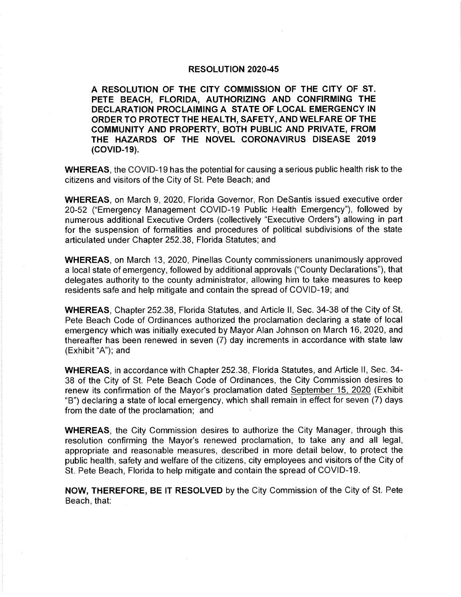## **RESOLUTION 2020-45**

A RESOLUTION OF THE CITY COMMISSION OF THE CITY OF ST. PETE BEACH, FLORIDA, AUTHORIZING AND CONFIRMING THE DECLARATION PROCLAIMING A STATE OF LOCAL EMERGENCY IN ORDER TO PROTECT THE HEALTH, SAFETY, AND WELFARE OF THE COMMUNITY AND PROPERTY, BOTH PUBLIC AND PRIVATE, FROM THE HAZARDS OF THE NOVEL CORONAVIRUS DISEASE 2019 (COVID-19).

WHEREAS, the COVID-19 has the potential for causing a serious public health risk to the citizens and visitors of the City of St. Pete Beach; and

WHEREAS, on March 9, 2020, Florida Governor, Ron DeSantis issued executive order 20-52 ("Emergency Management COVID-19 Public Health Emergency"), followed by numerous additional Executive Orders (collectively "Executive Orders") allowing in part for the suspension of formalities and procedures of political subdivisions of the state articulated under Chapter 252. 38, Florida Statutes; and

WHEREAS, on March 13, 2020, Pinellas County commissioners unanimously approved a local state of emergency, followed by additional approvals (" County Declarations"), that delegates authority to the county administrator, allowing him to take measures to keep residents safe and help mitigate and contain the spread of COVID-19; and

WHEREAS, Chapter 252.38, Florida Statutes, and Article II, Sec. 34-38 of the City of St. Pete Beach Code of Ordinances authorized the proclamation declaring a state of local emergency which was initially executed by Mayor Alan Johnson on March 16, 2020, and thereafter has been renewed in seven (7) day increments in accordance with state law (Exhibit "A"); and

WHEREAS, in accordance with Chapter 252. 38, Florida Statutes, and Article Il, Sec. 34- 38 of the City of St. Pete Beach Code of Ordinances, the City Commission desires to renew its confirmation of the Mayor's proclamation dated September 15, 2020 (Exhibit B") declaring a state of local emergency, which shall remain in effect for seven ( 7) days from the date of the proclamation; and

WHEREAS, the City Commission desires to authorize the City Manager, through this resolution confirming the Mayor's renewed proclamation, to take any and all legal. appropriate and reasonable measures, described in more detail below, to protect the public health, safety and welfare of the citizens, city employees and visitors of the City of St. Pete Beach, Florida to help mitigate and contain the spread of COVID- 19.

NOW, THEREFORE, BE IT RESOLVED by the City Commission of the City of St. Pete Beach, that: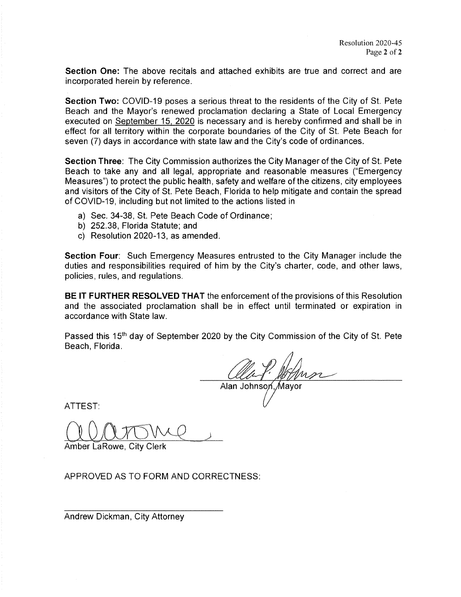Section One: The above recitals and attached exhibits are true and correct and are incorporated herein by reference.

Section Two: COVID-19 poses a serious threat to the residents of the City of St. Pete Beach and the Mayor's renewed proclamation declaring a State of Local Emergency executed on September 15. 2020 is necessary and is hereby confirmed and shall be in effect for all territory within the corporate boundaries of the City of St. Pete Beach for seven (7) days in accordance with state law and the City's code of ordinances.

Section Three: The City Commission authorizes the City Manager of the City of St. Pete Beach to take any and all legal, appropriate and reasonable measures ("Emergency Measures") to protect the public health, safety and welfare of the citizens, city employees and visitors of the City of St. Pete Beach, Florida to help mitigate and contain the spread of COVID-19, including but not limited to the actions listed in

- a) Sec. 34-38, St. Pete Beach Code of Ordinance;
- b) 252. 38, Florida Statute; and
- c) Resolution 2020-13, as amended.

Section Four: Such Emergency Measures entrusted to the City Manager include the duties and responsibilities required of him by the City's charter, code, and other laws, policies, rules, and regulations.

BE IT FURTHER RESOLVED THAT the enforcement of the provisions of this Resolution and the associated proclamation shall be in effect until terminated or expiration in accordance with State law.

Passed this 15<sup>th</sup> day of September 2020 by the City Commission of the City of St. Pete Beach, Florida.

r Alan Johnson, Mayor

ATTEST:

Amber LaRowe, City Clerk

APPROVED AS TO FORM AND CORRECTNESS:

Andrew Dickman, City Attorney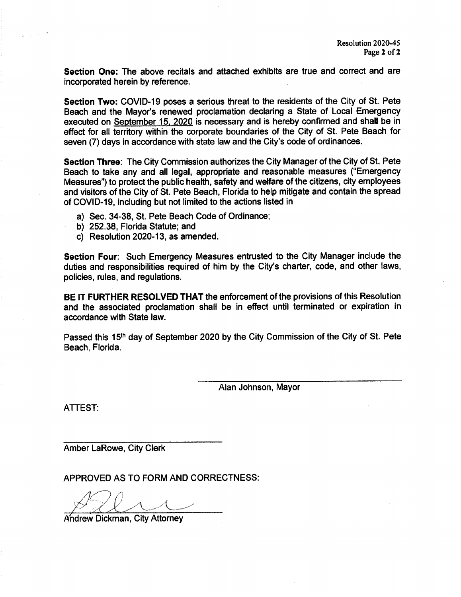Section One: The above recitals and attached exhibits are true and correct and are incorporated herein by reference.

Section Two: COVID-19 poses a serious threat to the residents of the City of St. Pete Beach and the Mayor's renewed proclamation declaring a State of Local Emergency executed on September 15. 2020 is necessary and is hereby confirmed and shall be in effect for all territory within the corporate boundaries of the City of St. Pete Beach for seven (7) days in accordance with state law and the City's code of ordinances.

Section Three: The City Commission authorizes the City Manager of the City of St. Pete Beach to take any and all legal, appropriate and reasonable measures (" Emergency Measures") to protect the public health, safety and welfare of the citizens, city employees and visitors of the City of St. Pete Beach, Florida to help mitigate and contain the spread of COVID- 19, including but not limited to the actions listed in

- a) Sec. 34-38, St. Pete Beach Code of Ordinance;
- b) 252. 38, Florida Statute; and
- c) Resolution 2020- 13, as amended.

Section Four: Such Emergency Measures entrusted to the City Manager include the duties and responsibilities required of him by the City's charter, code, and other laws, policies, rules, and regulations.

BE IT FURTHER RESOLVED THAT the enforcement of the provisions of this Resolution and the associated proclamation shall be in effect until terminated or expiration in accordance with State law.

Passed this 15<sup>th</sup> day of September 2020 by the City Commission of the City of St. Pete Beach, Florida.

Alan Johnson, Mayor

ATTEST:

Amber LaRowe, City Clerk

APPROVED AS TO FORM AND CORRECTNESS:

Andrew Dickman, City Attorney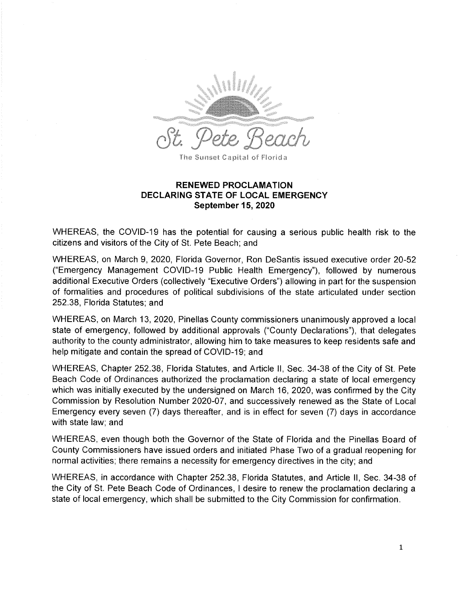

The Sunset Capital of Florida

## RENEWED PROCLAMATION DECLARING STATE OF LOCAL EMERGENCY September 15, 2020

WHEREAS, the COVID-19 has the potential for causing a serious public health risk to the citizens and visitors of the City of St. Pete Beach; and

WHEREAS, on March 9, 2020, Florida Governor, Ron DeSantis issued executive order 20-52 ("Emergency Management COVID-19 Public Health Emergency"), followed by numerous additional Executive Orders (collectively "Executive Orders") allowing in part for the suspension of formalities and procedures of political subdivisions of the state articulated under section 252. 38, Florida Statutes; and

WHEREAS, on March 13, 2020, Pinellas County commissioners unanimously approved a local state of emergency, followed by additional approvals (" County Declarations"), that delegates authority to the county administrator, allowing him to take measures to keep residents safe and help mitigate and contain the spread of COVID-19; and

WHEREAS, Chapter 252.38, Florida Statutes, and Article II, Sec. 34-38 of the City of St. Pete Beach Code of Ordinances authorized the proclamation declaring a state of local emergency which was initially executed by the undersigned on March 16, 2020, was confirmed by the City Commission by Resolution Number 2020-07, and successively renewed as the State of Local Emergency every seven (7) days thereafter, and is in effect for seven (7) days in accordance with state law; and

WHEREAS, even though both the Governor of the State of Florida and the Pinellas Board of County Commissioners have issued orders and initiated Phase Two of a gradual reopening for normal activities; there remains a necessity for emergency directives in the city; and

WHEREAS, in accordance with Chapter 252.38, Florida Statutes, and Article II, Sec. 34-38 of the City of St. Pete Beach Code of Ordinances, I desire to renew the proclamation declaring a state of local emergency, which shall be submitted to the City Commission for confirmation.